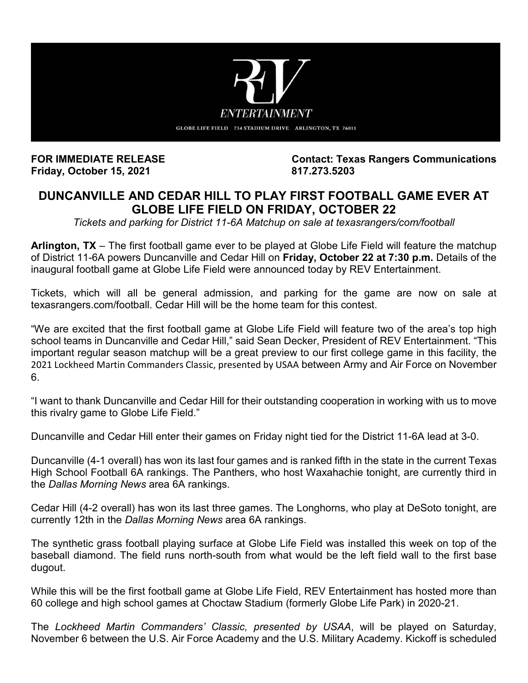

**Friday, October 15, 2021.** 

**FOR IMMEDIATE RELEASE Contact: Texas Rangers Communications**

## **DUNCANVILLE AND CEDAR HILL TO PLAY FIRST FOOTBALL GAME EVER AT GLOBE LIFE FIELD ON FRIDAY, OCTOBER 22**

*Tickets and parking for District 11-6A Matchup on sale at texasrangers/com/football* 

**Arlington, TX** – The first football game ever to be played at Globe Life Field will feature the matchup of District 11-6A powers Duncanville and Cedar Hill on **Friday, October 22 at 7:30 p.m.** Details of the inaugural football game at Globe Life Field were announced today by REV Entertainment.

Tickets, which will all be general admission, and parking for the game are now on sale at texasrangers.com/football. Cedar Hill will be the home team for this contest.

"We are excited that the first football game at Globe Life Field will feature two of the area's top high school teams in Duncanville and Cedar Hill," said Sean Decker, President of REV Entertainment. "This important regular season matchup will be a great preview to our first college game in this facility, the 2021 Lockheed Martin Commanders Classic, presented by USAA between Army and Air Force on November 6.

"I want to thank Duncanville and Cedar Hill for their outstanding cooperation in working with us to move this rivalry game to Globe Life Field."

Duncanville and Cedar Hill enter their games on Friday night tied for the District 11-6A lead at 3-0.

Duncanville (4-1 overall) has won its last four games and is ranked fifth in the state in the current Texas High School Football 6A rankings. The Panthers, who host Waxahachie tonight, are currently third in the *Dallas Morning News* area 6A rankings.

Cedar Hill (4-2 overall) has won its last three games. The Longhorns, who play at DeSoto tonight, are currently 12th in the *Dallas Morning News* area 6A rankings.

The synthetic grass football playing surface at Globe Life Field was installed this week on top of the baseball diamond. The field runs north-south from what would be the left field wall to the first base dugout.

While this will be the first football game at Globe Life Field, REV Entertainment has hosted more than 60 college and high school games at Choctaw Stadium (formerly Globe Life Park) in 2020-21.

The *Lockheed Martin Commanders' Classic, presented by USAA*, will be played on Saturday, November 6 between the U.S. Air Force Academy and the U.S. Military Academy. Kickoff is scheduled